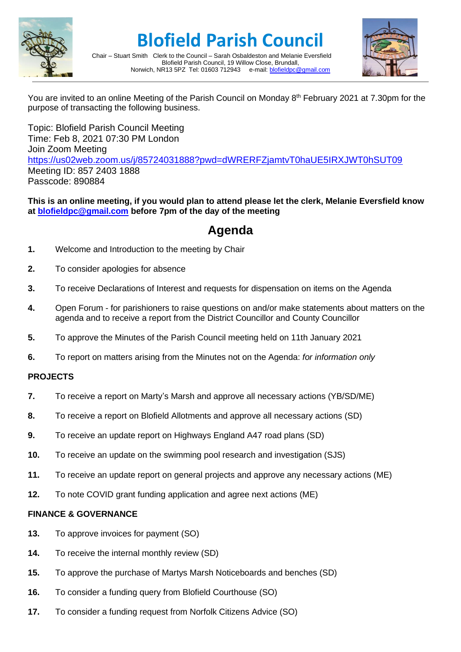

# **Blofield Parish Council**



Chair – Stuart Smith Clerk to the Council – Sarah Osbaldeston and Melanie Eversfield Blofield Parish Council, 19 Willow Close, Brundall,<br>R13 5PZ Tel: 01603 712943 e-mail: blofieldoc@gmail.com Norwich, NR13 5PZ Tel: 01603 712943

You are invited to an online Meeting of the Parish Council on Monday 8<sup>th</sup> February 2021 at 7.30pm for the purpose of transacting the following business.

Topic: Blofield Parish Council Meeting Time: Feb 8, 2021 07:30 PM London Join Zoom Meeting <https://us02web.zoom.us/j/85724031888?pwd=dWRERFZjamtvT0haUE5IRXJWT0hSUT09> Meeting ID: 857 2403 1888 Passcode: 890884

**This is an online meeting, if you would plan to attend please let the clerk, Melanie Eversfield know at [blofieldpc@gmail.com](mailto:blofieldpc@gmail.com) before 7pm of the day of the meeting**

## **Agenda**

- **1.** Welcome and Introduction to the meeting by Chair
- **2.** To consider apologies for absence
- **3.** To receive Declarations of Interest and requests for dispensation on items on the Agenda
- **4.** Open Forum for parishioners to raise questions on and/or make statements about matters on the agenda and to receive a report from the District Councillor and County Councillor
- **5.** To approve the Minutes of the Parish Council meeting held on 11th January 2021
- **6.** To report on matters arising from the Minutes not on the Agenda: *for information only*

### **PROJECTS**

- **7.** To receive a report on Marty's Marsh and approve all necessary actions (YB/SD/ME)
- **8.** To receive a report on Blofield Allotments and approve all necessary actions (SD)
- **9.** To receive an update report on Highways England A47 road plans (SD)
- **10.** To receive an update on the swimming pool research and investigation (SJS)
- **11.** To receive an update report on general projects and approve any necessary actions (ME)
- **12.** To note COVID grant funding application and agree next actions (ME)

### **FINANCE & GOVERNANCE**

- **13.** To approve invoices for payment (SO)
- **14.** To receive the internal monthly review (SD)
- **15.** To approve the purchase of Martys Marsh Noticeboards and benches (SD)
- **16.** To consider a funding query from Blofield Courthouse (SO)
- **17.** To consider a funding request from Norfolk Citizens Advice (SO)